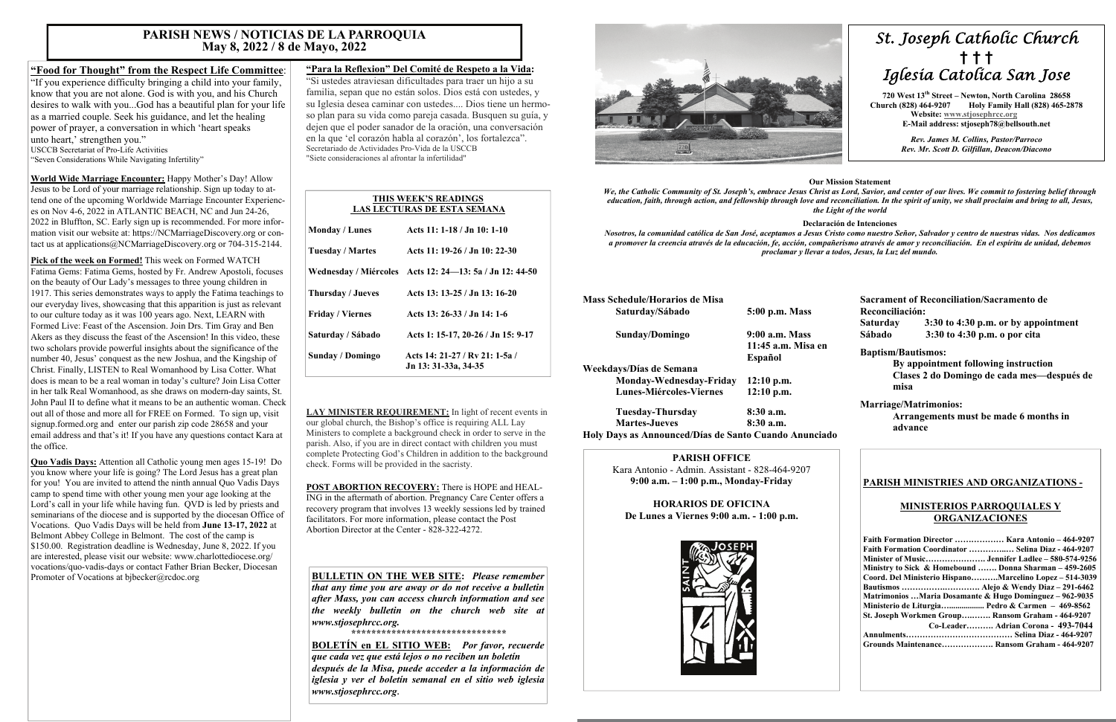# *St. Joseph Catholic Church*  **†****† †**  *Iglesia Catolica San Jose*

**720 West 13th Street – Newton, North Carolina 28658 Church (828) 464-9207 Holy Family Hall (828) 465-2878 Website: [www.stjosephrcc.org](http://www.stjoseph4cc.org/) E-Mail address: stjoseph78@bellsouth.net** 

> *Rev. James M. Collins, Pastor/Parroco Rev. Mr. Scott D. Gilfillan, Deacon/Diacono*

#### **Our Mission Statement**

*We, the Catholic Community of St. Joseph's, embrace Jesus Christ as Lord, Savior, and center of our lives. We commit to fostering belief through education, faith, through action, and fellowship through love and reconciliation. In the spirit of unity, we shall proclaim and bring to all, Jesus, the Light of the world* 

#### **Declaración de Intenciones**

*Nosotros, la comunidad católica de San José, aceptamos a Jesus Cristo como nuestro Señor, Salvador y centro de nuestras vidas. Nos dedicamos a promover la creencia através de la educación, fe, acción, compañerismo através de amor y reconciliación. En el espíritu de unidad, debemos proclamar y llevar a todos, Jesus, la Luz del mundo.* 

| <b>Mass Schedule/Horarios de Misa</b> |                    |
|---------------------------------------|--------------------|
| Saturday/Sábado                       | 5:00 p.m. Mass     |
| Sunday/Domingo                        | 9:00 a.m. Mass     |
|                                       | 11:45 a.m. Misa en |
|                                       | Español            |
| Weekdays/Días de Semana               |                    |
| Monday-Wednesday-Friday               | $12:10$ p.m.       |
| <b>Lunes-Miércoles-Viernes</b>        | $12:10$ p.m.       |
| Tuesday-Thursday                      | $8:30$ a.m.        |
| <b>Martes-Jueves</b>                  | $8:30$ a.m.        |

**Holy Days as Announced/Días de Santo Cuando Anunciado** 

**Sacrament of Reconciliation/Sacramento de Reconciliación: Saturday 3:30 to 4:30 p.m. or by appointment Sábado 3:30 to 4:30 p.m. o por cita** 

"If you experience difficulty bringing a child into your family, know that you are not alone. God is with you, and his Church desires to walk with you...God has a beautiful plan for your life as a married couple. Seek his guidance, and let the healing power of prayer, a conversation in which 'heart speaks unto heart,' strengthen you."

#### **Baptism/Bautismos:**

 **By appointment following instruction Clases 2 do Domingo de cada mes—después de misa** 

#### **Marriage/Matrimonios:**

 **Arrangements must be made 6 months in advance** 

#### **PARISH OFFICE**

Kara Antonio - Admin. Assistant - 828-464-9207 **9:00 a.m. – 1:00 p.m., Monday-Friday** 

**HORARIOS DE OFICINA De Lunes a Viernes 9:00 a.m. - 1:00 p.m.** 



#### **PARISH MINISTRIES AND ORGANIZATIONS -**

#### **MINISTERIOS PARROQUIALES Y ORGANIZACIONES**

| Faith Formation Director  Kara Antonio - 464-9207       |
|---------------------------------------------------------|
| Faith Formation Coordinator  Selina Diaz - 464-9207     |
|                                                         |
| Ministry to Sick & Homebound  Donna Sharman – 459-2605  |
| Coord. Del Ministerio HispanoMarcelino Lopez – 514-3039 |
|                                                         |
| Matrimonios Maria Dosamante & Hugo Dominguez – 962-9035 |
| Ministerio de Liturgia Pedro & Carmen $-469-8562$       |
| St. Joseph Workmen Group Ransom Graham - 464-9207       |
| Co-Leader Adrian Corona - 493-7044                      |
|                                                         |
| Grounds Maintenance Ransom Graham - 464-9207            |

**Quo Vadis Days:** Attention all Catholic young men ages 15-19! Do you know where your life is going? The Lord Jesus has a great plan for you! You are invited to attend the ninth annual Quo Vadis Days camp to spend time with other young men your age looking at the Lord's call in your life while having fun. QVD is led by priests and seminarians of the diocese and is supported by the diocesan Office of Vocations. Quo Vadis Days will be held from **June 13-17, 2022** at Belmont Abbey College in Belmont. The cost of the camp is \$150.00. Registration deadline is Wednesday, June 8, 2022. If you are interested, please visit our website: www.charlottediocese.org/ vocations/quo-vadis-days or contact Father Brian Becker, Diocesan Promoter of Vocations at bibecker@rcdoc.org

# **"Food for Thought" from the Respect Life Committee**:

USCCB Secretariat of Pro-Life Activities

"Seven Considerations While Navigating Infertility"

**World Wide Marriage Encounter:** Happy Mother's Day! Allow Jesus to be Lord of your marriage relationship. Sign up today to attend one of the upcoming Worldwide Marriage Encounter Experiences on Nov 4-6, 2022 in ATLANTIC BEACH, NC and Jun 24-26, 2022 in Bluffton, SC. Early sign up is recommended. For more information visit our website at: https://NCMarriageDiscovery.org or contact us at applications@NCMarriageDiscovery.org or 704-315-2144.

**Pick of the week on Formed!** This week on Formed WATCH Fatima Gems: Fatima Gems, hosted by Fr. Andrew Apostoli, focuses on the beauty of Our Lady's messages to three young children in 1917. This series demonstrates ways to apply the Fatima teachings to our everyday lives, showcasing that this apparition is just as relevant to our culture today as it was 100 years ago. Next, LEARN with Formed Live: Feast of the Ascension. Join Drs. Tim Gray and Ben Akers as they discuss the feast of the Ascension! In this video, these two scholars provide powerful insights about the significance of the number 40, Jesus' conquest as the new Joshua, and the Kingship of Christ. Finally, LISTEN to Real Womanhood by Lisa Cotter. What does is mean to be a real woman in today's culture? Join Lisa Cotter in her talk Real Womanhood, as she draws on modern-day saints, St. John Paul II to define what it means to be an authentic woman. Check out all of those and more all for FREE on Formed. To sign up, visit signup.formed.org and enter our parish zip code 28658 and your email address and that's it! If you have any questions contact Kara at the office.

### **"Para la Reflexion" Del Comité de Respeto a la Vida:**

"Si ustedes atraviesan dificultades para traer un hijo a su familia, sepan que no están solos. Dios está con ustedes, y su Iglesia desea caminar con ustedes.... Dios tiene un hermoso plan para su vida como pareja casada. Busquen su guía, y dejen que el poder sanador de la oración, una conversación en la que 'el corazón habla al corazón', los fortalezca". Secretariado de Actividades Pro-Vida de la USCCB "Siete consideraciones al afrontar la infertilidad"

**LAY MINISTER REQUIREMENT:** In light of recent events in our global church, the Bishop's office is requiring ALL Lay Ministers to complete a background check in order to serve in the parish. Also, if you are in direct contact with children you must complete Protecting God's Children in addition to the background check. Forms will be provided in the sacristy.

**POST ABORTION RECOVERY:** There is HOPE and HEAL-ING in the aftermath of abortion. Pregnancy Care Center offers a recovery program that involves 13 weekly sessions led by trained facilitators. For more information, please contact the Post Abortion Director at the Center - 828-322-4272.

# **PARISH NEWS / NOTICIAS DE LA PARROQUIA May 8, 2022 / 8 de Mayo, 2022**

#### **THIS WEEK'S READINGS LAS LECTURAS DE ESTA SEMANA**

| Acts 11: 1-18 / Jn 10: 1-10                             |
|---------------------------------------------------------|
| Acts 11: 19-26 / Jn 10: 22-30                           |
| Wednesday / Miércoles Acts 12: 24—13: 5a / Jn 12: 44-50 |
| Acts 13: 13-25 / Jn 13: 16-20                           |
| Acts 13: 26-33 / Jn 14: 1-6                             |
| Acts 1: 15-17, 20-26 / Jn 15: 9-17                      |
| Acts 14: 21-27 / Ry 21: 1-5a /<br>Jn 13: 31-33a, 34-35  |
|                                                         |

**BULLETIN ON THE WEB SITE:** *Please remember that any time you are away or do not receive a bulletin after Mass, you can access church information and see the weekly bulletin on the church web site at www.stjosephrcc.org.* 

*\*\*\*\*\*\*\*\*\*\*\*\*\*\*\*\*\*\*\*\*\*\*\*\*\*\*\*\*\*\*\** 

**BOLETÍN en EL SITIO WEB:** *Por favor, recuerde que cada vez que está lejos o no reciben un boletín después de la Misa, puede acceder a la información de iglesia y ver el boletín semanal en el sitio web iglesia www.stjosephrcc.org***.**